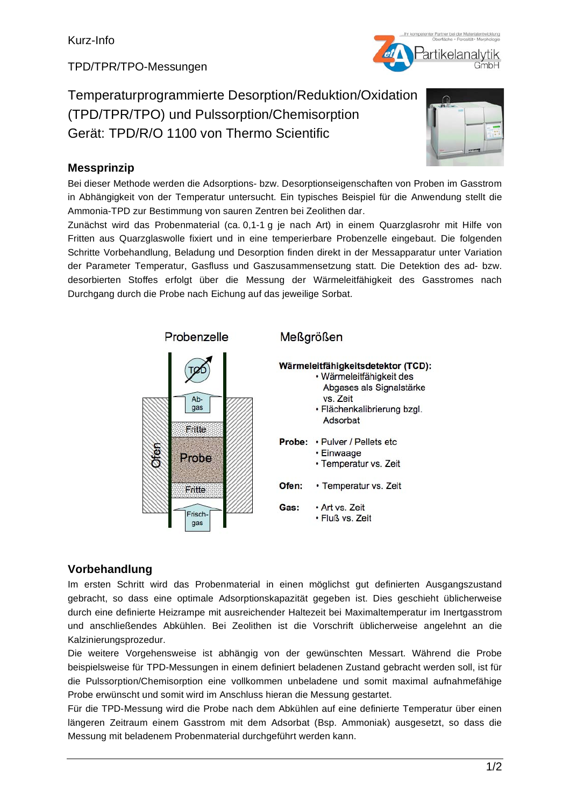TPD/TPR/TPO-Messungen

Temperaturprogrammierte Desorption/Reduktion/Oxidation (TPD/TPR/TPO) und Pulssorption/Chemisorption Gerät: TPD/R/O 1100 von Thermo Scientific



Bei dieser Methode werden die Adsorptions- bzw. Desorptionseigenschaften von Proben im Gasstrom in Abhängigkeit von der Temperatur untersucht. Ein typisches Beispiel für die Anwendung stellt die Ammonia-TPD zur Bestimmung von sauren Zentren bei Zeolithen dar.

Zunächst wird das Probenmaterial (ca. 0,1-1 g je nach Art) in einem Quarzglasrohr mit Hilfe von Fritten aus Quarzglaswolle fixiert und in eine temperierbare Probenzelle eingebaut. Die folgenden Schritte Vorbehandlung, Beladung und Desorption finden direkt in der Messapparatur unter Variation der Parameter Temperatur, Gasfluss und Gaszusammensetzung statt. Die Detektion des ad- bzw. desorbierten Stoffes erfolgt über die Messung der Wärmeleitfähigkeit des Gasstromes nach Durchgang durch die Probe nach Eichung auf das jeweilige Sorbat.



### **Vorbehandlung**

Im ersten Schritt wird das Probenmaterial in einen möglichst gut definierten Ausgangszustand gebracht, so dass eine optimale Adsorptionskapazität gegeben ist. Dies geschieht üblicherweise durch eine definierte Heizrampe mit ausreichender Haltezeit bei Maximaltemperatur im Inertgasstrom und anschließendes Abkühlen. Bei Zeolithen ist die Vorschrift üblicherweise angelehnt an die Kalzinierungsprozedur.

Die weitere Vorgehensweise ist abhängig von der gewünschten Messart. Während die Probe beispielsweise für TPD-Messungen in einem definiert beladenen Zustand gebracht werden soll, ist für die Pulssorption/Chemisorption eine vollkommen unbeladene und somit maximal aufnahmefähige Probe erwünscht und somit wird im Anschluss hieran die Messung gestartet.

Für die TPD-Messung wird die Probe nach dem Abkühlen auf eine definierte Temperatur über einen längeren Zeitraum einem Gasstrom mit dem Adsorbat (Bsp. Ammoniak) ausgesetzt, so dass die Messung mit beladenem Probenmaterial durchgeführt werden kann.

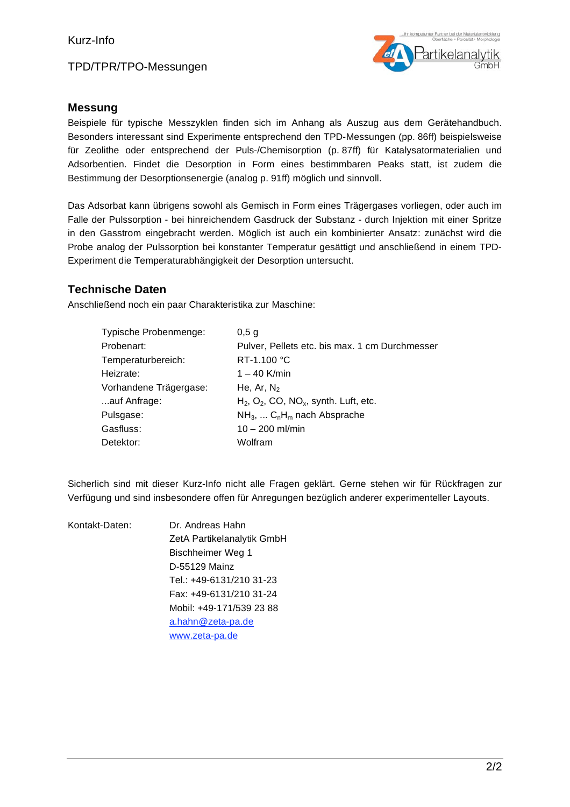TPD/TPR/TPO-Messungen



### **Messung**

Beispiele für typische Messzyklen finden sich im Anhang als Auszug aus dem Gerätehandbuch. Besonders interessant sind Experimente entsprechend den TPD-Messungen (pp. 86ff) beispielsweise für Zeolithe oder entsprechend der Puls-/Chemisorption (p. 87ff) für Katalysatormaterialien und Adsorbentien. Findet die Desorption in Form eines bestimmbaren Peaks statt, ist zudem die Bestimmung der Desorptionsenergie (analog p. 91ff) möglich und sinnvoll.

Das Adsorbat kann übrigens sowohl als Gemisch in Form eines Trägergases vorliegen, oder auch im Falle der Pulssorption - bei hinreichendem Gasdruck der Substanz - durch Injektion mit einer Spritze in den Gasstrom eingebracht werden. Möglich ist auch ein kombinierter Ansatz: zunächst wird die Probe analog der Pulssorption bei konstanter Temperatur gesättigt und anschließend in einem TPD-Experiment die Temperaturabhängigkeit der Desorption untersucht.

### **Technische Daten**

Anschließend noch ein paar Charakteristika zur Maschine:

| Typische Probenmenge:  | $0,5$ g                                                          |
|------------------------|------------------------------------------------------------------|
| Probenart:             | Pulver, Pellets etc. bis max. 1 cm Durchmesser                   |
| Temperaturbereich:     | RT-1.100 °C                                                      |
| Heizrate:              | $1 - 40$ K/min                                                   |
| Vorhandene Trägergase: | He, Ar, $N_2$                                                    |
| auf Anfrage:           | $H_2$ , O <sub>2</sub> , CO, NO <sub>x</sub> , synth. Luft, etc. |
| Pulsgase:              | $NH_3$ , $C_nH_m$ nach Absprache                                 |
| Gasfluss:              | $10 - 200$ ml/min                                                |
| Detektor:              | Wolfram                                                          |

Sicherlich sind mit dieser Kurz-Info nicht alle Fragen geklärt. Gerne stehen wir für Rückfragen zur Verfügung und sind insbesondere offen für Anregungen bezüglich anderer experimenteller Layouts.

| Kontakt-Daten: | Dr. Andreas Hahn           |
|----------------|----------------------------|
|                |                            |
|                | ZetA Partikelanalytik GmbH |
|                | Bischheimer Weg 1          |
|                | D-55129 Mainz              |
|                | Tel.: +49-6131/210 31-23   |
|                | Fax: +49-6131/210 31-24    |
|                | Mobil: +49-171/539 23 88   |
|                | a.hahn@zeta-pa.de          |
|                | www.zeta-pa.de             |
|                |                            |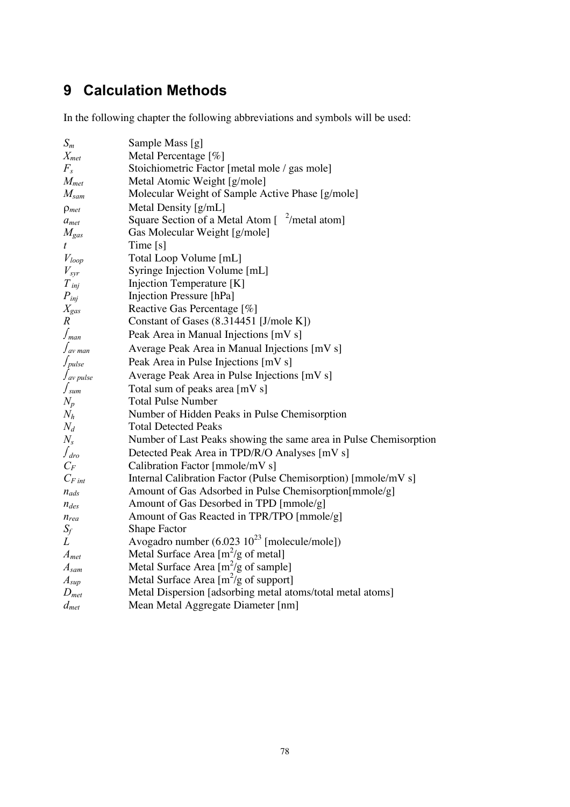# **9 Calculation Methods**

In the following chapter the following abbreviations and symbols will be used:

| $S_m$             | Sample Mass [g]                                                                                  |  |  |
|-------------------|--------------------------------------------------------------------------------------------------|--|--|
| $X_{met}$         | Metal Percentage [%]                                                                             |  |  |
| $F_s$             | Stoichiometric Factor [metal mole / gas mole]                                                    |  |  |
| $M_{met}$         | Metal Atomic Weight [g/mole]                                                                     |  |  |
| $M_{\text{sam}}$  | Molecular Weight of Sample Active Phase [g/mole]                                                 |  |  |
| $\rho_{met}$      | Metal Density [g/mL]                                                                             |  |  |
| $a_{met}$         | Square Section of a Metal Atom $\left[ \begin{array}{c} 2/\text{metal atom} \end{array} \right]$ |  |  |
| $M_{\rm gas}$     | Gas Molecular Weight [g/mole]                                                                    |  |  |
| t.                | Time [s]                                                                                         |  |  |
| $V_{loop}$        | Total Loop Volume [mL]                                                                           |  |  |
| $V_{\rm{syr}}$    | Syringe Injection Volume [mL]                                                                    |  |  |
| $T_{inj}$         | Injection Temperature [K]                                                                        |  |  |
| $P_{inj}$         | Injection Pressure [hPa]                                                                         |  |  |
| $X_{\text{gas}}$  | Reactive Gas Percentage [%]                                                                      |  |  |
| R                 | Constant of Gases (8.314451 [J/mole K])                                                          |  |  |
| $\int_{man}$      | Peak Area in Manual Injections [mV s]                                                            |  |  |
| $\int_{av}$ man   | Average Peak Area in Manual Injections [mV s]                                                    |  |  |
| $\int_{pulse}$    | Peak Area in Pulse Injections [mV s]                                                             |  |  |
| $\int_{av}$ pulse | Average Peak Area in Pulse Injections [mV s]                                                     |  |  |
| $\int_{sum}$      | Total sum of peaks area [mV s]                                                                   |  |  |
| $N_p$             | <b>Total Pulse Number</b>                                                                        |  |  |
| $N_h$             | Number of Hidden Peaks in Pulse Chemisorption                                                    |  |  |
| $N_d$             | <b>Total Detected Peaks</b>                                                                      |  |  |
| $N_{s}$           | Number of Last Peaks showing the same area in Pulse Chemisorption                                |  |  |
| $\int_{dro}$      | Detected Peak Area in TPD/R/O Analyses [mV s]                                                    |  |  |
| $C_F$             | Calibration Factor [mmole/mV s]                                                                  |  |  |
| $C_{F\,int}$      | Internal Calibration Factor (Pulse Chemisorption) [mmole/mV s]                                   |  |  |
| $n_{ads}$         | Amount of Gas Adsorbed in Pulse Chemisorption[mmole/g]                                           |  |  |
| $n_{des}$         | Amount of Gas Desorbed in TPD [mmole/g]                                                          |  |  |
| $n_{rea}$         | Amount of Gas Reacted in TPR/TPO [mmole/g]                                                       |  |  |
| $S_f$             | <b>Shape Factor</b>                                                                              |  |  |
| L                 | Avogadro number $(6.023 \ 10^{23} \$ [molecule/mole])                                            |  |  |
| $A_{met}$         | Metal Surface Area $[m^2/g \text{ of metal}]$                                                    |  |  |
| $A_{sam}$         | Metal Surface Area $[m^2/g \text{ of sample}]$                                                   |  |  |
| $A_{sup}$         | Metal Surface Area $[m^2/g \text{ of support}]$                                                  |  |  |
| $D_{met}$         | Metal Dispersion [adsorbing metal atoms/total metal atoms]                                       |  |  |
| $d_{met}$         | Mean Metal Aggregate Diameter [nm]                                                               |  |  |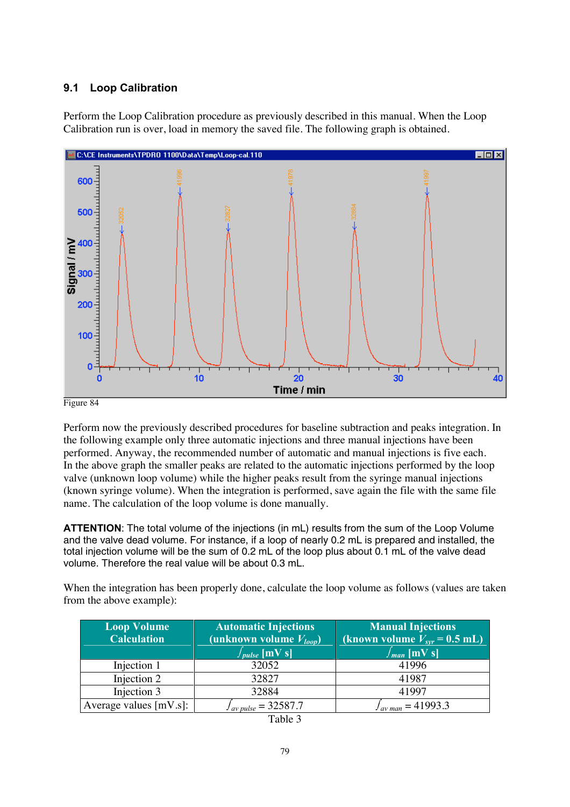### **9.1 Loop Calibration**

Perform the Loop Calibration procedure as previously described in this manual. When the Loop Calibration run is over, load in memory the saved file. The following graph is obtained.



Figure 84

Perform now the previously described procedures for baseline subtraction and peaks integration. In the following example only three automatic injections and three manual injections have been performed. Anyway, the recommended number of automatic and manual injections is five each. In the above graph the smaller peaks are related to the automatic injections performed by the loop valve (unknown loop volume) while the higher peaks result from the syringe manual injections (known syringe volume). When the integration is performed, save again the file with the same file name. The calculation of the loop volume is done manually.

ATTENTION: The total volume of the injections (in mL) results from the sum of the Loop Volume and the valve dead volume. For instance, if a loop of nearly 0.2 mL is prepared and installed, the total injection volume will be the sum of 0.2 mL of the loop plus about 0.1 mL of the valve dead volume. Therefore the real value will be about 0.3 mL.

When the integration has been properly done, calculate the loop volume as follows (values are taken from the above example):

| <b>Loop Volume</b><br><b>Calculation</b> | <b>Automatic Injections</b><br>(unknown volume $V_{loop}$ )<br>$\int_{pulse}$ [mV s] | <b>Manual Injections</b><br>(known volume $V_{spr}$ = 0.5 mL)<br>$\int_{man}$ [mV s] |  |
|------------------------------------------|--------------------------------------------------------------------------------------|--------------------------------------------------------------------------------------|--|
| Injection 1                              | 32052                                                                                | 41996                                                                                |  |
| Injection 2                              | 32827                                                                                | 41987                                                                                |  |
| Injection 3                              | 32884                                                                                | 41997                                                                                |  |
| Average values $[mV.s]:$                 | $I_{av \, pulse} = 32587.7$                                                          | $I_{av \, man} = 41993.3$                                                            |  |

| able |  |
|------|--|
|------|--|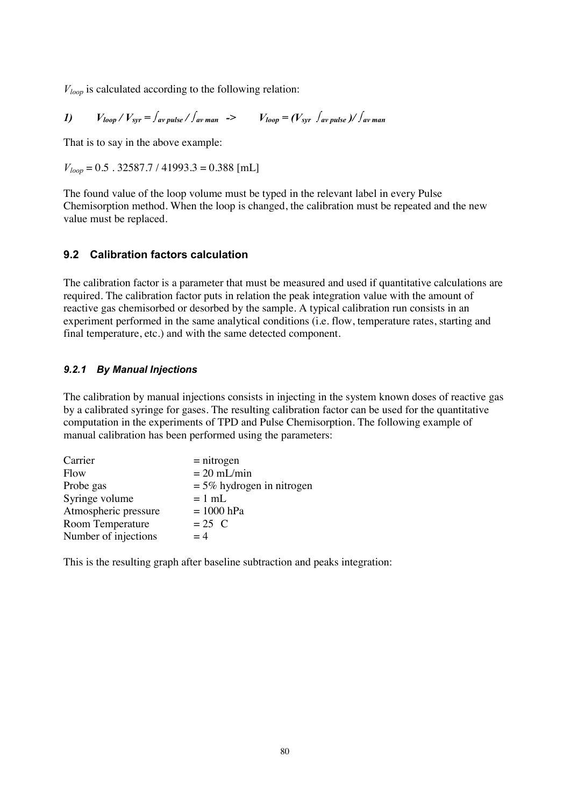$V_{loop}$  is calculated according to the following relation:

*1*)  $V_{loop} / V_{spr} = \int_{av \, pulse} / \int_{av \, man}$  ->  $V_{loop} = (V_{spr} \int_{av \, pulse} / \int_{av \, man}$ 

That is to say in the above example:

 $V_{loop} = 0.5$ . 32587.7 / 41993.3 = 0.388 [mL]

The found value of the loop volume must be typed in the relevant label in every Pulse Chemisorption method. When the loop is changed, the calibration must be repeated and the new value must be replaced.

### **9.2 Calibration factors calculation**

The calibration factor is a parameter that must be measured and used if quantitative calculations are required. The calibration factor puts in relation the peak integration value with the amount of reactive gas chemisorbed or desorbed by the sample. A typical calibration run consists in an experiment performed in the same analytical conditions (i.e. flow, temperature rates, starting and final temperature, etc.) and with the same detected component.

### **9.2.1 By Manual Injections**

The calibration by manual injections consists in injecting in the system known doses of reactive gas by a calibrated syringe for gases. The resulting calibration factor can be used for the quantitative computation in the experiments of TPD and Pulse Chemisorption. The following example of manual calibration has been performed using the parameters:

| Carrier              | $=$ nitrogen                |
|----------------------|-----------------------------|
| Flow                 | $= 20$ mL/min               |
| Probe gas            | $=$ 5% hydrogen in nitrogen |
| Syringe volume       | $= 1$ mL                    |
| Atmospheric pressure | $= 1000$ hPa                |
| Room Temperature     | $= 25$ C                    |
| Number of injections | $=4$                        |

This is the resulting graph after baseline subtraction and peaks integration: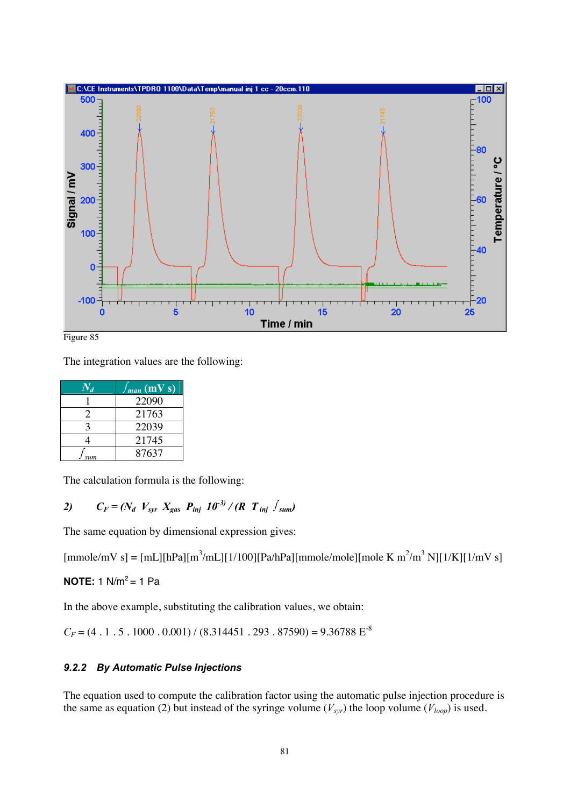



The integration values are the following:

| $N_d$        | $\frac{f_{man} (mVs)}{m}$ |
|--------------|---------------------------|
|              | 22090                     |
| 2            | 21763                     |
| $\mathbf{a}$ | 22039                     |
| 4            | 21745                     |
| sum          | 87637                     |

The calculation formula is the following:

## 2)  $C_F = (N_d \ V_{spr} X_{gas} P_{inj} 10^{-3} / (R \ T_{inj} \ f_{sum})$

The same equation by dimensional expression gives:

 ${\rm [mmole/mV\ s]} = {\rm [mL][hPa][m^3/mL][1/100][Pa/hPa][mmole/mole][mole K m^2/m^3 N][1/K][1/mV s]}$ 

### **NOTE:** 1  $N/m^2 = 1$  Pa

In the above example, substituting the calibration values, we obtain:

 $C_F = (4 \cdot 1 \cdot 5 \cdot 1000 \cdot 0.001) / (8.314451 \cdot 293 \cdot 87590) = 9.36788 \text{ E}^{-8}$ 

### **9.2.2 By Automatic Pulse Injections**

The equation used to compute the calibration factor using the automatic pulse injection procedure is the same as equation (2) but instead of the syringe volume ( $V_{syn}$ ) the loop volume ( $V_{loop}$ ) is used.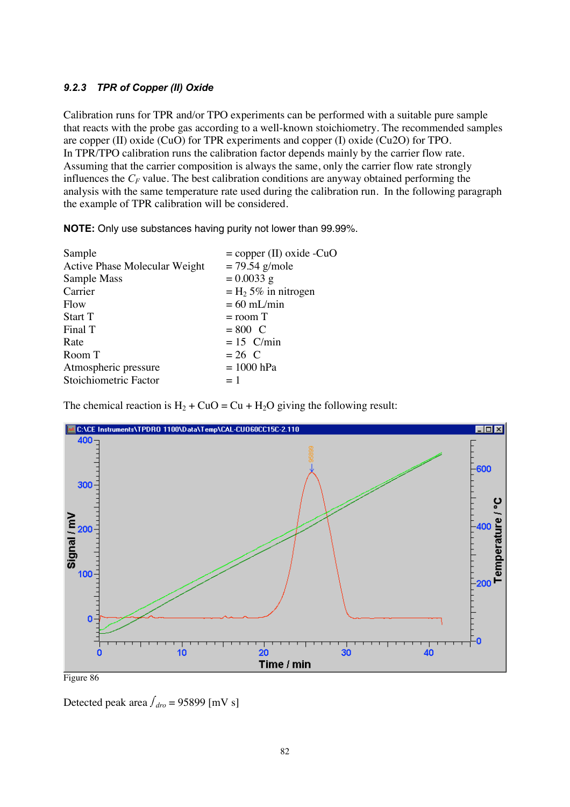### **9.2.3 TPR of Copper (II) Oxide**

Calibration runs for TPR and/or TPO experiments can be performed with a suitable pure sample that reacts with the probe gas according to a well-known stoichiometry. The recommended samples are copper (II) oxide (CuO) for TPR experiments and copper (I) oxide (Cu2O) for TPO. In TPR/TPO calibration runs the calibration factor depends mainly by the carrier flow rate. Assuming that the carrier composition is always the same, only the carrier flow rate strongly influences the  $C_F$  value. The best calibration conditions are anyway obtained performing the analysis with the same temperature rate used during the calibration run. In the following paragraph the example of TPR calibration will be considered.

**NOTE:** Only use substances having purity not lower than 99.99%.

| Sample                        | $=$ copper (II) oxide -CuO        |
|-------------------------------|-----------------------------------|
| Active Phase Molecular Weight | $= 79.54$ g/mole                  |
| Sample Mass                   | $= 0.0033$ g                      |
| Carrier                       | $=$ H <sub>2</sub> 5% in nitrogen |
| Flow                          | $= 60$ mL/min                     |
| Start T                       | $=$ room $T$                      |
| Final T                       | $= 800$ C                         |
| Rate                          | $= 15$ C/min                      |
| Room T                        | $= 26$ C                          |
| Atmospheric pressure          | $= 1000$ hPa                      |
| Stoichiometric Factor         | $=1$                              |
|                               |                                   |

The chemical reaction is  $H_2$  + CuO = Cu + H<sub>2</sub>O giving the following result:



Detected peak area  $f_{dro} = 95899$  [mV s]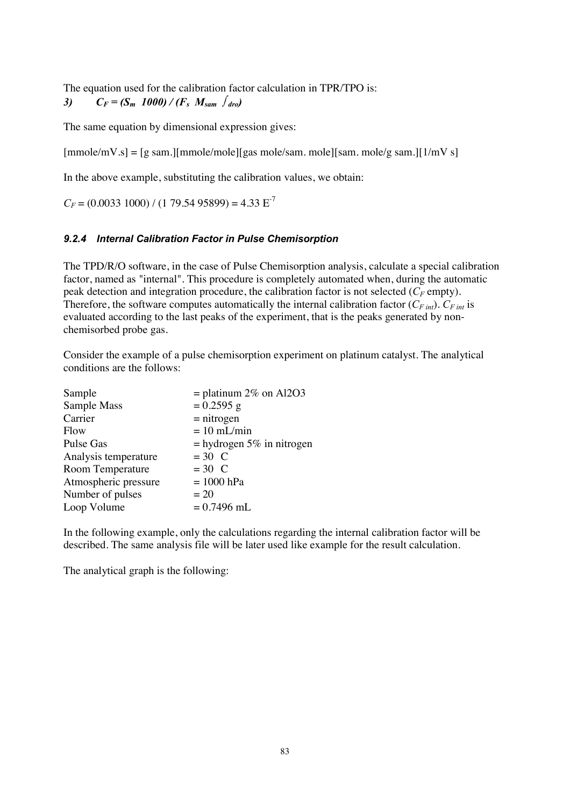The equation used for the calibration factor calculation in TPR/TPO is: *3)*  $C_F = (S_m \ 1000) / (F_s \ M_{sam} \ f_{drop})$ 

The same equation by dimensional expression gives:

 $[mmole/mV.s] = [g sam.] [mmole/mole][gas mole/sam. mole][sam. mole/g sam.] [1/mV s]$ 

In the above example, substituting the calibration values, we obtain:

 $C_F = (0.0033\ 1000) / (1\ 79.54\ 95899) = 4.33 \text{ E}^{-7}$ 

### **9.2.4 Internal Calibration Factor in Pulse Chemisorption**

The TPD/R/O software, in the case of Pulse Chemisorption analysis, calculate a special calibration factor, named as "internal". This procedure is completely automated when, during the automatic peak detection and integration procedure, the calibration factor is not selected  $(C_F \text{empty})$ . Therefore, the software computes automatically the internal calibration factor  $(C_{F\ int})$ .  $C_{F\ int}$  is evaluated according to the last peaks of the experiment, that is the peaks generated by nonchemisorbed probe gas.

Consider the example of a pulse chemisorption experiment on platinum catalyst. The analytical conditions are the follows:

| $=$ platinum 2\% on Al2O3   |
|-----------------------------|
| $= 0.2595$ g                |
| $=$ nitrogen                |
| $= 10$ mL/min               |
| $=$ hydrogen 5% in nitrogen |
| $= 30$ C                    |
| $=30$ C                     |
| $= 1000$ hPa                |
| $= 20$                      |
| $= 0.7496$ mL               |
|                             |

In the following example, only the calculations regarding the internal calibration factor will be described. The same analysis file will be later used like example for the result calculation.

The analytical graph is the following: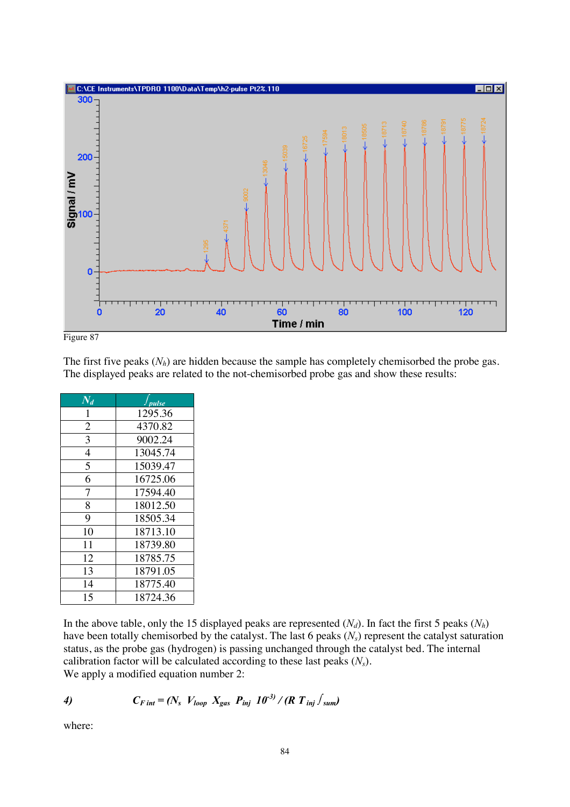



The first five peaks  $(N_h)$  are hidden because the sample has completely chemisorbed the probe gas. The displayed peaks are related to the not-chemisorbed probe gas and show these results:

| $\overline{N_d}$ | pulse    |
|------------------|----------|
| 1                | 1295.36  |
| $\overline{2}$   | 4370.82  |
| 3                | 9002.24  |
| 4                | 13045.74 |
| 5                | 15039.47 |
| 6                | 16725.06 |
| 7                | 17594.40 |
| 8                | 18012.50 |
| 9                | 18505.34 |
| 10               | 18713.10 |
| 11               | 18739.80 |
| 12               | 18785.75 |
| 13               | 18791.05 |
| 14               | 18775.40 |
| 15               | 18724.36 |

In the above table, only the 15 displayed peaks are represented  $(N_d)$ . In fact the first 5 peaks  $(N_h)$ have been totally chemisorbed by the catalyst. The last 6 peaks  $(N_s)$  represent the catalyst saturation status, as the probe gas (hydrogen) is passing unchanged through the catalyst bed. The internal calibration factor will be calculated according to these last peaks  $(N_s)$ . We apply a modified equation number 2:

4) 
$$
C_{F\,int} = (N_s \ V_{loop} \ X_{gas} \ P_{inj} \ 10^{-3}) / (R \ T_{inj} \ f_{sum})
$$

where: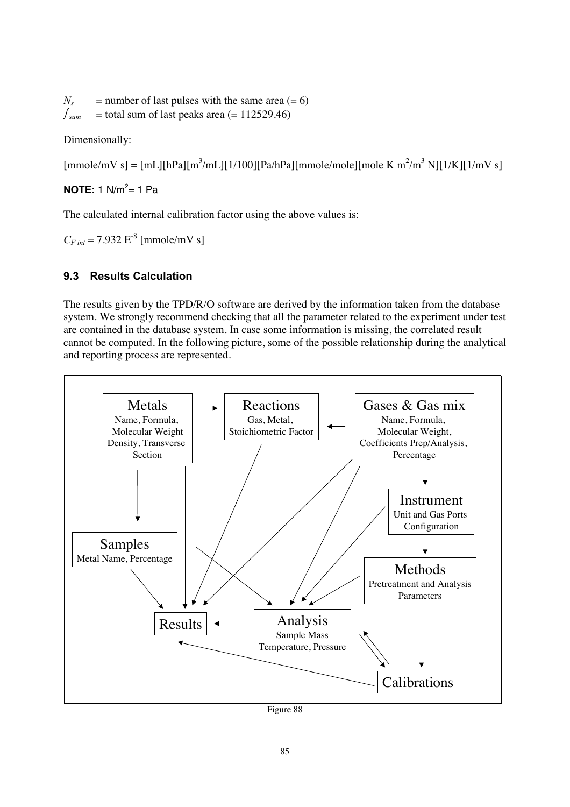$N_s$  = number of last pulses with the same area (= 6)  $f_{\text{sum}}$  = total sum of last peaks area (= 112529.46)

Dimensionally:

 ${\rm [mmole/mV\ s]} = {\rm [mL][hPa][m^3/mL][1/100][Pa/hPa][mmole/mole][mole K m^2/m^3 N][1/K][1/mV s]}$ 

### **NOTE:** 1 N/m<sup>2</sup>= 1 Pa

The calculated internal calibration factor using the above values is:

 $C_{F\text{int}} = 7.932 \text{ E}^{-8}$  [mmole/mV s]

### **9.3 Results Calculation**

The results given by the TPD/R/O software are derived by the information taken from the database system. We strongly recommend checking that all the parameter related to the experiment under test are contained in the database system. In case some information is missing, the correlated result cannot be computed. In the following picture, some of the possible relationship during the analytical and reporting process are represented.



Figure 88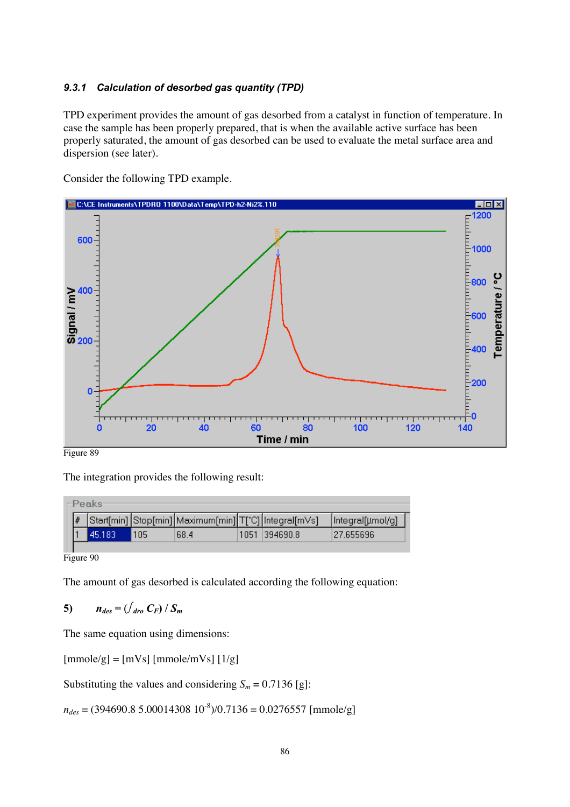### 9.3.1 Calculation of desorbed gas quantity (TPD)

TPD experiment provides the amount of gas desorbed from a catalyst in function of temperature. In case the sample has been properly prepared, that is when the available active surface has been properly saturated, the amount of gas desorbed can be used to evaluate the metal surface area and dispersion (see later).

Consider the following TPD example.



Figure 89

The integration provides the following result:

|  | ⊢Peaks <sup>.</sup> |     |                                                       |               |                   |
|--|---------------------|-----|-------------------------------------------------------|---------------|-------------------|
|  |                     |     | Start[min] Stop[min] Maximum[min] T[°C] Integral[mVs] |               | [Integral[µmol/g] |
|  | 45.1837             | 105 | 68.4                                                  | 1051 394690.8 | 27.655696         |
|  |                     |     |                                                       |               |                   |

Figure 90

The amount of gas desorbed is calculated according the following equation:

$$
5) \qquad n_{des} = \left(\int_{\text{dro}} C_F\right) / S_m
$$

The same equation using dimensions:

 $[mmole/g] = [mVs] [mmole/mVs] [1/g]$ 

Substituting the values and considering  $S_m = 0.7136$  [g]:

 $n_{des} = (394690.8 \text{ } 5.00014308 \text{ } 10^{-8})/0.7136 = 0.0276557 \text{ } [\text{mmole/g}]$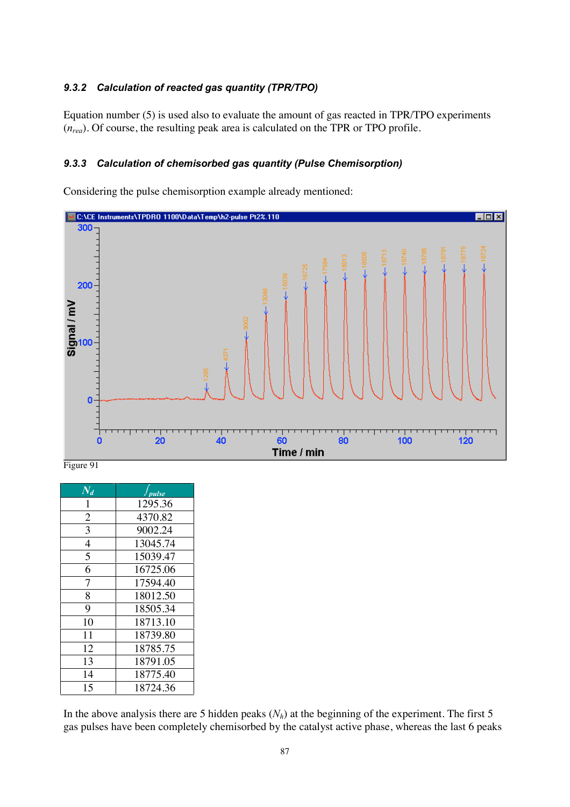### 9.3.2 Calculation of reacted gas quantity (TPR/TPO)

Equation number (5) is used also to evaluate the amount of gas reacted in TPR/TPO experiments  $(n_{\text{real}})$ . Of course, the resulting peak area is calculated on the TPR or TPO profile.

### 9.3.3 Calculation of chemisorbed gas quantity (Pulse Chemisorption)

Considering the pulse chemisorption example already mentioned:



Figure 91

| $N_d$          | pulse    |
|----------------|----------|
|                | 1295.36  |
| $\overline{2}$ | 4370.82  |
| 3              | 9002.24  |
| 4              | 13045.74 |
| 5              | 15039.47 |
| 6              | 16725.06 |
| $\overline{7}$ | 17594.40 |
| 8              | 18012.50 |
| 9              | 18505.34 |
| 10             | 18713.10 |
| 11             | 18739.80 |
| 12             | 18785.75 |
| 13             | 18791.05 |
| 14             | 18775.40 |
| 15             | 18724.36 |

In the above analysis there are 5 hidden peaks  $(N_h)$  at the beginning of the experiment. The first 5 gas pulses have been completely chemisorbed by the catalyst active phase, whereas the last 6 peaks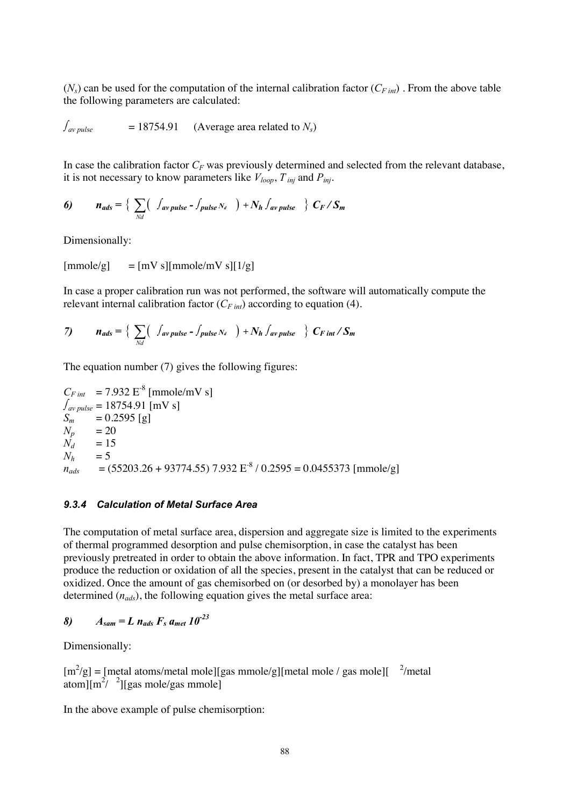$(N_s)$  can be used for the computation of the internal calibration factor  $(C_{F\text{ int}})$ . From the above table the following parameters are calculated:

 $\int_{\text{av pulse}}$  = 18754.91 (Average area related to  $N_s$ )

In case the calibration factor  $C_F$  was previously determined and selected from the relevant database, it is not necessary to know parameters like  $V_{loop}$ ,  $T_{inj}$  and  $P_{inj}$ .

6) 
$$
n_{ads} = \left\{ \sum_{Nd} \left( \int_{av \, pulse} - \int_{pulse} N_d \right) + N_h \int_{av \, pulse} \right\} C_F / S_m
$$

Dimensionally:

 $[mmole/g] = [mV s][mmole/mV s][1/g]$ 

In case a proper calibration run was not performed, the software will automatically compute the relevant internal calibration factor  $(C_{F\ int})$  according to equation (4).

7) 
$$
n_{ads} = \left\{ \sum_{Nd} \left( \int_{av \, pulse} - \int_{pulse} N_d \right) + N_h \int_{av \, pulse} \right\} C_{F\,int} / S_m
$$

The equation number (7) gives the following figures:

$$
C_{F\ int} = 7.932 \text{ E}^{-8} \ [\text{mmole/mV s}]
$$
  
\n
$$
\int_{\text{av pulse}} \frac{1}{2} = 18754.91 \ [\text{mV s}]
$$
  
\n
$$
S_m = 0.2595 \ [\text{g}]
$$
  
\n
$$
N_p = 20
$$
  
\n
$$
N_d = 15
$$
  
\n
$$
N_h = 5
$$
  
\n
$$
n_{ads} = (55203.26 + 93774.55) \ 7.932 \ \text{E}^{-8} / 0.2595 = 0.0455373 \ [\text{mmole/g}]
$$

#### 9.3.4 Calculation of Metal Surface Area

The computation of metal surface area, dispersion and aggregate size is limited to the experiments of thermal programmed desorption and pulse chemisorption, in case the catalyst has been previously pretreated in order to obtain the above information. In fact, TPR and TPO experiments produce the reduction or oxidation of all the species, present in the catalyst that can be reduced or oxidized. Once the amount of gas chemisorbed on (or desorbed by) a monolayer has been determined  $(n_{ads})$ , the following equation gives the metal surface area:

8) 
$$
A_{sam} = L n_{ads} F_s a_{met} 10^{-23}
$$

Dimensionally:

 $[m^2/g] = [metal atoms/metal mole][gas mmole/g][metal mole / gas mole][<sup>2</sup>/metal$ atom] $\left[\text{m}^2 / \right]^2$ ][gas mole/gas mmole]

In the above example of pulse chemisorption: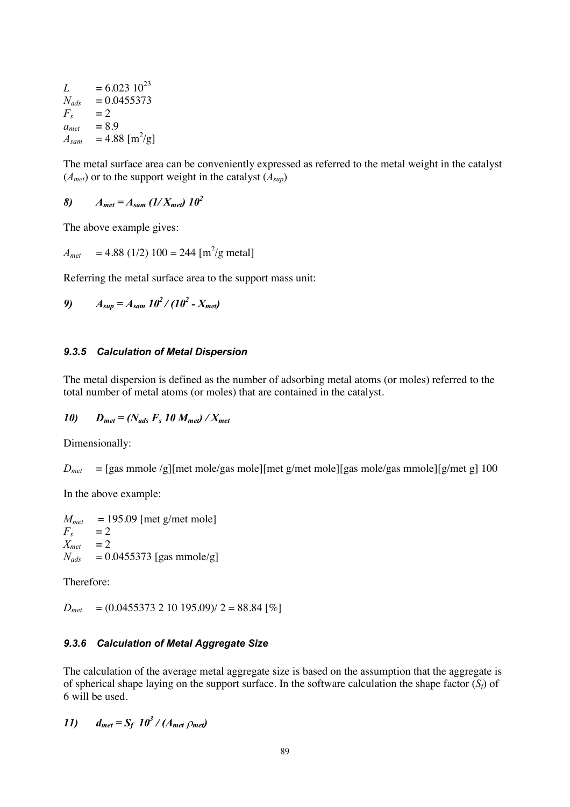$L = 6.023 \ 10^{23}$ <br> $N_{ads} = 0.0455373$  $=0.0455373$  $F_s$  = 2  $a_{met} = 8.9$  $A_{sam}$  = 4.88 [m<sup>2</sup>/g]

The metal surface area can be conveniently expressed as referred to the metal weight in the catalyst  $(A_{met})$  or to the support weight in the catalyst  $(A_{sun})$ 

*A<sub>met</sub>* =  $A_{sam}$  (1/ $X_{met}$ ) 10<sup>2</sup>

The above example gives:

 $A_{met}$  = 4.88 (1/2) 100 = 244 [m<sup>2</sup>/g metal]

Referring the metal surface area to the support mass unit:

9) 
$$
A_{\text{sup}} = A_{\text{sam}} 10^2 / (10^2 - X_{\text{met}})
$$

#### **9.3.5 Calculation of Metal Dispersion**

The metal dispersion is defined as the number of adsorbing metal atoms (or moles) referred to the total number of metal atoms (or moles) that are contained in the catalyst.

### *10*)  $D_{\text{met}} = (N_{\text{ads}} F_s 10 M_{\text{met}}) / X_{\text{met}}$

Dimensionally:

 $D_{met}$  = [gas mmole /g][met mole/gas mole][met g/met mole][gas mole/gas mmole][g/met g] 100

In the above example:

 $\begin{array}{ll} M_{met} & = 195.09 \; [\text{met g/met mole}] \\ F_s & = 2 \end{array}$  $F_s$  = 2<br> $X_{met}$  = 2  $\sum_{m \neq t}^{s}$  $N_{ads}$  = 0.0455373 [gas mmole/g]

Therefore:

 $D_{met} = (0.0455373 \ 2 \ 10 \ 195.09)/2 = 88.84$  [%]

#### 9.3.6 Calculation of Metal Aggregate Size

The calculation of the average metal aggregate size is based on the assumption that the aggregate is of spherical shape laying on the support surface. In the software calculation the shape factor  $(S_t)$  of 6 will be used.

*<i>H*<sub>net</sub> =  $S_f$  *10<sup>3</sup>* / (*A<sub>met</sub> Omet*)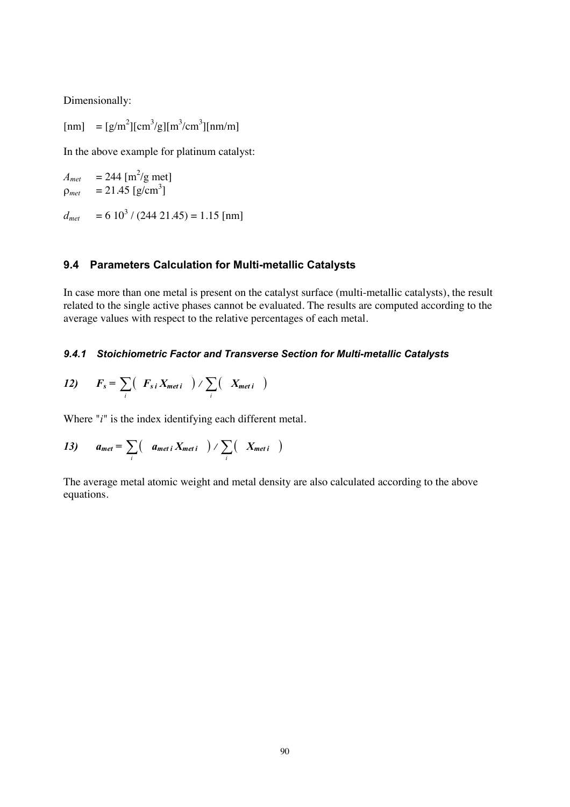Dimensionally:

 ${\rm [nm]} = [g/m^2] [cm^3/g] [m^3/cm^3] [nm/m]$ 

In the above example for platinum catalyst:

$$
A_{met} = 244 \text{ [m}^2/\text{g met]}
$$
  
\n
$$
\rho_{met} = 21.45 \text{ [g/cm}^3\text{]}
$$
  
\n
$$
d_{met} = 6 \frac{10^3}{(244 \text{ 21.45})} = 1.15 \text{ [nm]}
$$

#### **9.4 Parameters Calculation for Multi-metallic Catalysts**

In case more than one metal is present on the catalyst surface (multi-metallic catalysts), the result related to the single active phases cannot be evaluated. The results are computed according to the average values with respect to the relative percentages of each metal.

### 9.4.1 Stoichiometric Factor and Transverse Section for Multi-metallic Catalysts

$$
I2) \tF_s = \sum_i \left( F_{si} X_{meti} \right) / \sum_i \left( X_{meti} \right)
$$

Where  $"i"$  is the index identifying each different metal.

13) 
$$
a_{met} = \sum_i \left( a_{meti} X_{meti} \right) / \sum_i \left( X_{meti} \right)
$$

The average metal atomic weight and metal density are also calculated according to the above equations.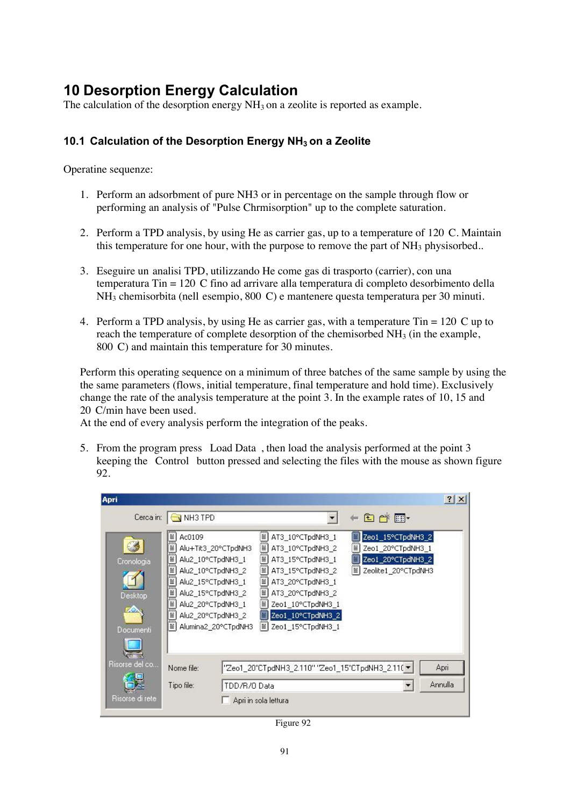## **10 Desorption Energy Calculation**

The calculation of the desorption energy  $NH<sub>3</sub>$  on a zeolite is reported as example.

### **2G12 2G12 Calculation of the Desorption Energy NH<sub>3</sub> on a Zeolite**

Operatine sequenze:

- 1. Perform an adsorbment of pure NH3 or in percentage on the sample through flow or performing an analysis of "Pulse Chrmisorption" up to the complete saturation.
- 2. Perform a TPD analysis, by using He as carrier gas, up to a temperature of 120 C. Maintain this temperature for one hour, with the purpose to remove the part of  $NH<sub>3</sub>$  physisorbed..
- 3. Eseguire un analisi TPD, utilizzando He come gas di trasporto (carrier), con una temperatura Tin = 120 C fino ad arrivare alla temperatura di completo desorbimento della NH3 chemisorbita (nell esempio, 800 C) e mantenere questa temperatura per 30 minuti.
- 4. Perform a TPD analysis, by using He as carrier gas, with a temperature Tin = 120 C up to reach the temperature of complete desorption of the chemisorbed  $NH<sub>3</sub>$  (in the example, 800 C) and maintain this temperature for 30 minutes.

Perform this operating sequence on a minimum of three batches of the same sample by using the the same parameters (flows, initial temperature, final temperature and hold time). Exclusively change the rate of the analysis temperature at the point 3. In the example rates of 10, 15 and 20 C/min have been used.

At the end of every analysis perform the integration of the peaks.

5. From the program press Load Data , then load the analysis performed at the point 3 keeping the Control button pressed and selecting the files with the mouse as shown figure 92.

| Apri                                              |                                                                                                    |                                                                                                           |                                                                                                                                                                                                                                   |                                                                                                     | $?$ $\times$ |
|---------------------------------------------------|----------------------------------------------------------------------------------------------------|-----------------------------------------------------------------------------------------------------------|-----------------------------------------------------------------------------------------------------------------------------------------------------------------------------------------------------------------------------------|-----------------------------------------------------------------------------------------------------|--------------|
| Cerca in:                                         | NH3 TPD                                                                                            |                                                                                                           |                                                                                                                                                                                                                                   | 白び雨                                                                                                 |              |
| Cronologia<br>Desktop<br>t Ca<br><b>Documenti</b> | milmilmilmilmilmin m<br>Ac0109<br>Alu2_10°CTpdNH3_1<br>Alu2 15°CTpdNH3 1<br>Alu2_20°CTpdNH3_1<br>罾 | Alu+Tit3_20°CTpdNH3<br>Alu2_10°CTpdNH3_2<br>Alu2 15°CTpdNH3 2<br>Alu2_20°CTpdNH3_2<br>Alumina2_20°CTpdNH3 | Ë<br>AT3_10°CTpdNH3_1<br>Ë<br>AT3 10°CTpdNH3 2<br>Ĩ<br>AT3 15°CTpdNH3 1<br>ŧ<br>AT3_15°CTpdNH3_2<br>Ë<br>AT3 20°CTpdNH3 1<br>Ë<br>AT3 20°CTpdNH3 2<br>Ĩ<br>Zeo1_10°CTpdNH3_1<br>▤<br>Zeo1_10°CTpdNH3_2<br>ËI<br>Zeo1_15°CTpdNH3_1 | Zeo1_15°CTpdNH3_2<br>眉<br>Ê<br>Zeo1_20°CTpdNH3_1<br>Zeo1_20°CTpdNH3_2<br>眉<br>≡ Zeolite1_20°CTpdNH3 |              |
| Risorse del co                                    | Nome file:                                                                                         |                                                                                                           | "Zeo1_20°CTpdNH3_2.110" "Zeo1_15°CTpdNH3_2.110 \                                                                                                                                                                                  |                                                                                                     | Apri         |
|                                                   | Tipo file:                                                                                         | TDD/R/0 Data                                                                                              |                                                                                                                                                                                                                                   |                                                                                                     | Annulla      |
| Risorse di rete                                   |                                                                                                    |                                                                                                           | Apri in sola lettura                                                                                                                                                                                                              |                                                                                                     |              |

Figure 92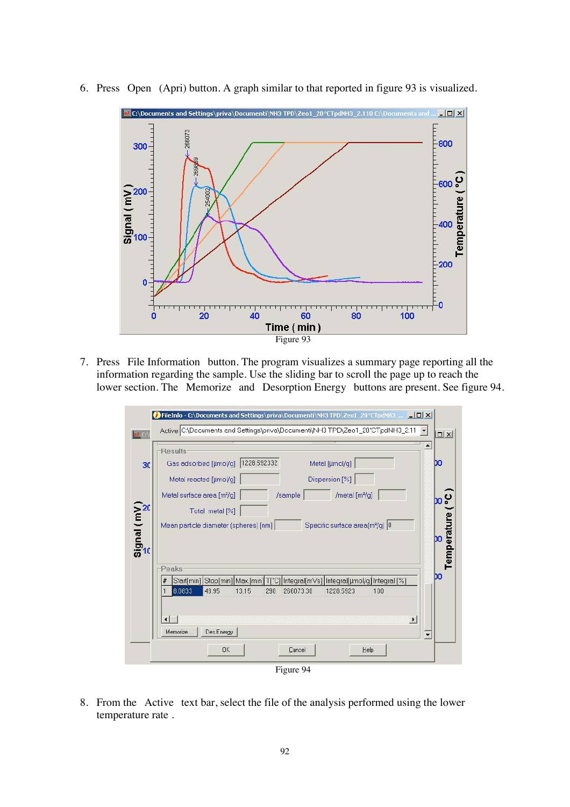

6. Press Open (Apri) button. A graph similar to that reported in figure 93 is visualized.

7. Press File Information button. The program visualizes a summary page reporting all the information regarding the sample. Use the sliding bar to scroll the page up to reach the lower section. The Memorize and Desorption Energy buttons are present. See figure 94.

|                                      | <b>Results</b>                                                                                      |                                         |
|--------------------------------------|-----------------------------------------------------------------------------------------------------|-----------------------------------------|
| 30                                   | 1228.592332<br>Metal [µmol/g]<br>Gas adsorbed [µmol/q]                                              | DO                                      |
|                                      | Dispersion [%]<br>Metal reacted [µmol/q]                                                            |                                         |
|                                      | Metal surface area [m2/g]<br>/sample<br>/metal [m <sup>2</sup> /g]                                  |                                         |
|                                      | Total metal [%]                                                                                     |                                         |
|                                      | Specific surface area(m <sup>2</sup> /g) 0<br>Mean particle diameter (spheres) [nm]                 |                                         |
|                                      |                                                                                                     |                                         |
| $\frac{\text{Signal}(mV)}{\text{c}}$ | Peaks                                                                                               |                                         |
|                                      | Stop[min]   Max.[min]   T[*C]   Integral[m\/s]   Integral[µmol/g]   Integral [%]<br>#<br>Start[min] | o <sub>o</sub><br>Temperature (°C<br>DO |
|                                      | 8.0833<br>48.95<br>13.15<br>298<br>266073.38<br>1228.5923<br>100                                    |                                         |
|                                      | $\overline{ }$                                                                                      |                                         |

8. From the Active text bar, select the file of the analysis performed using the lower temperature rate .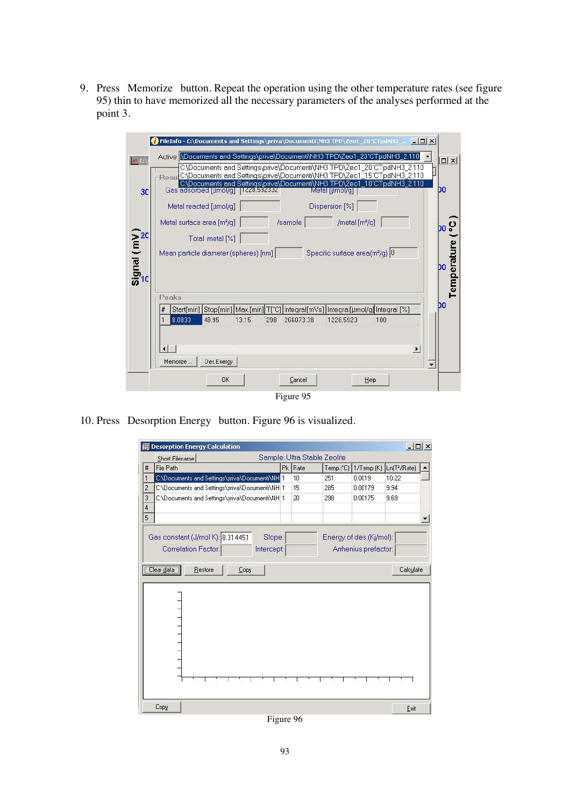9. Press Memorize button. Repeat the operation using the other temperature rates (see figure 95) thin to have memorized all the necessary parameters of the analyses performed at the point 3.

|                                             | TrileInfo - C:\Documents and Settings\priva\Documenti\NH3 TPD\Zeo1_20°CTpdNH3  [10] X                                                                              |                   |
|---------------------------------------------|--------------------------------------------------------------------------------------------------------------------------------------------------------------------|-------------------|
| <b>AM</b> C:\                               | Active VDocuments and Settings\priva\Documenti\NH3 TPD\Zeo1_20°CTpdNH3_2.110<br>C:\Documents and Settings\priva\Documenti\NH3 TPD\Zeo1_20°CTpdNH3_2.110            | $\Box$            |
|                                             | Resu C\Documents and Settings\priva\Documenti\NH3 TPD\Zeo1_15°CTpdNH3_2.110                                                                                        |                   |
| 30                                          | C:\Documents and Settings\priva\Documenti\NH3 TPD\Zeo1_10°CTpdNH3_2.110<br>Gas adsorbed [µmol/q] [1228.592332]<br>Metal [µmol/q]                                   | DO                |
|                                             | Dispersion [%]<br>Metal reacted [µmol/q]                                                                                                                           |                   |
|                                             | Metal surface area [m <sup>2</sup> /g]<br>/sample<br>/metal [m <sup>2</sup> /q]                                                                                    | <sub>bo</sub> ပွ  |
|                                             | Total metal [%]                                                                                                                                                    |                   |
|                                             | Specific surface area(m <sup>2</sup> /q) 0<br>Mean particle diameter (spheres) [nm]                                                                                |                   |
| $\frac{\text{Signal}(\text{mV})}{\text{m}}$ |                                                                                                                                                                    | Temperature<br>DO |
|                                             |                                                                                                                                                                    |                   |
|                                             | Peaks                                                                                                                                                              | DO                |
|                                             | Stop[min]   Max.[min] T[°C]   Integral[mVs]   Integral[µmol/g] Integral [%]<br>Start[min]<br>#<br>8.0833<br>48.95<br>13.15<br>298<br>266073.38<br>1228.5923<br>100 |                   |
|                                             |                                                                                                                                                                    |                   |
|                                             | $\blacktriangleright$                                                                                                                                              |                   |
|                                             | Memorize<br>Des.Energy<br>$\overline{\phantom{a}}$                                                                                                                 |                   |
|                                             | <b>OK</b><br>Cancel<br>Help                                                                                                                                        |                   |
|                                             | Figure 95                                                                                                                                                          |                   |

10. Press Desorption Energy button. Figure 96 is visualized.

|                | Short Filename                                 |         | Sample: Ultra Stable Zeolite |            |                          |  |
|----------------|------------------------------------------------|---------|------------------------------|------------|--------------------------|--|
| #              | File Path                                      | Pk Rate | Temp.(°C)                    | 1/Temp.(K) | Ln(T <sup>2</sup> /Rate) |  |
|                | C:\Documents and Settings\priva\Documenti\NH 1 | 10      | 251                          | 0.0019     | 10.22                    |  |
| $\overline{c}$ | C:\Documents and Settings\priva\Documenti\NH 1 | 15      | 285                          | 0.00179    | 9.94                     |  |
| 3              | C:\Documents and Settings\priva\Documenti\NH 1 | 20      | 298                          | 0.00175    | 9.69                     |  |
| $\overline{4}$ |                                                |         |                              |            |                          |  |
| 5              |                                                |         |                              |            |                          |  |
|                | Clear data<br>Restore<br>Copy                  |         |                              |            | Calculate                |  |
|                |                                                |         |                              |            |                          |  |
|                |                                                |         |                              |            |                          |  |

Figure 96